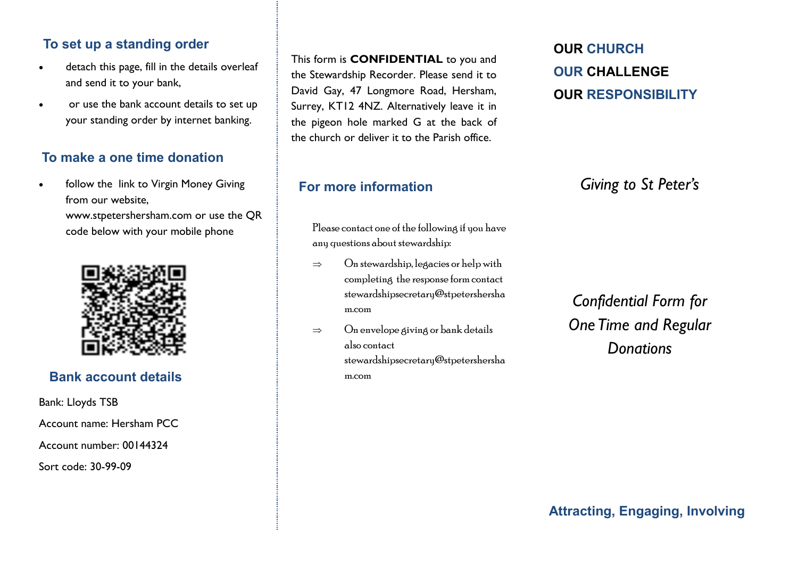### **To set up a standing order**

- detach this page, fill in the details overleaf and send it to your bank,
- or use the bank account details to set up your standing order by internet banking.

## **To make a one time donation**

follow the link to Virgin Money Giving from our website,

> www.stpetershersham.com or use the QR code below with your mobile phone



# **Bank account details**

Bank: Lloyds TSB Account name: Hersham PCC Account number: 00144324 Sort code: 30-99-09

This form is **CONFIDENTIAL** to you and the Stewardship Recorder. Please send it to David Gay, 47 Longmore Road, Hersham, Surrey, KT12 4NZ. Alternatively leave it in the pigeon hole marked G at the back of the church or deliver it to the Parish office.

#### **For more information**

**OUR CHURCH OUR CHALLENGE OUR RESPONSIBILITY**

*Giving to St Peter's* 

Please contact one of the following if you have any questions about stewardship:

- $\Rightarrow$  On stewardship, legacies or help with completing the response form contact stewardshipsecretary@stpetershersha m.com
- $\Rightarrow$  On envelope giving or bank details also contact stewardshipsecretary@stpetershersha m.com

*Confidential Form for One Time and Regular Donations*

**Attracting, Engaging, Involving**